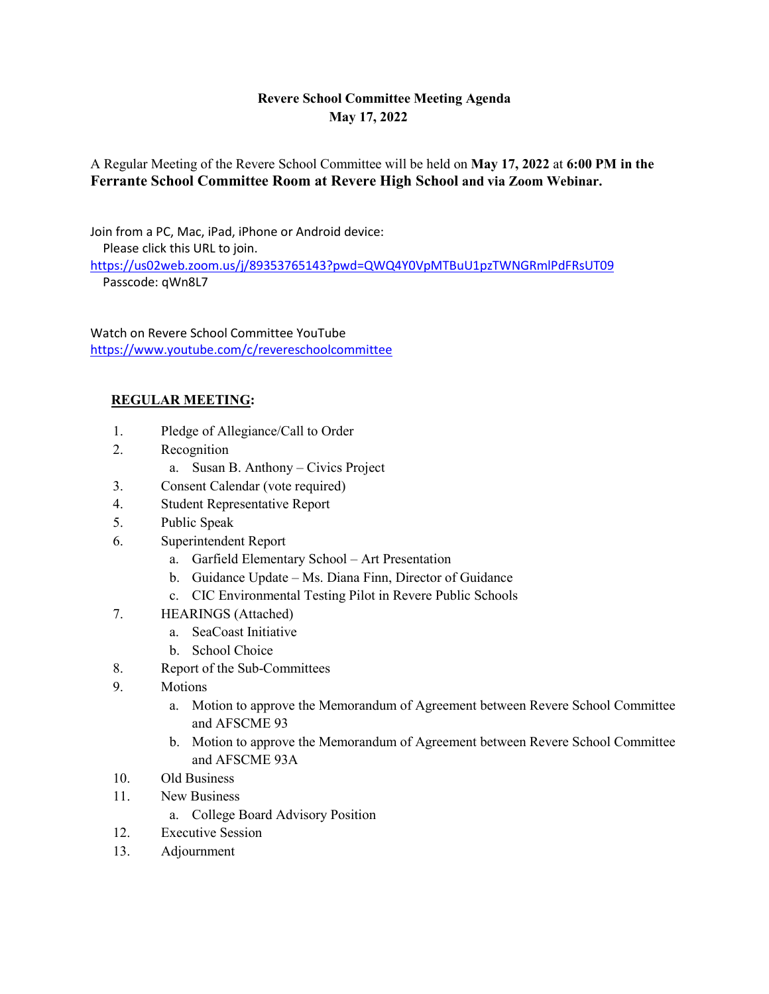## **Revere School Committee Meeting Agenda May 17, 2022**

A Regular Meeting of the Revere School Committee will be held on **May 17, 2022** at **6:00 PM in the Ferrante School Committee Room at Revere High School and via Zoom Webinar.**

Join from a PC, Mac, iPad, iPhone or Android device:

Please click this URL to join.

<https://us02web.zoom.us/j/89353765143?pwd=QWQ4Y0VpMTBuU1pzTWNGRmlPdFRsUT09> Passcode: qWn8L7

Watch on Revere School Committee YouTube <https://www.youtube.com/c/revereschoolcommittee>

## **REGULAR MEETING:**

- 1. Pledge of Allegiance/Call to Order
- 2. Recognition
	- a. Susan B. Anthony Civics Project
- 3. Consent Calendar (vote required)
- 4. Student Representative Report
- 5. Public Speak
- 6. Superintendent Report
	- a. Garfield Elementary School Art Presentation
	- b. Guidance Update Ms. Diana Finn, Director of Guidance
	- c. CIC Environmental Testing Pilot in Revere Public Schools
- 7. HEARINGS (Attached)
	- a. SeaCoast Initiative
	- b. School Choice
- 8. Report of the Sub-Committees
- 9. Motions
	- a. Motion to approve the Memorandum of Agreement between Revere School Committee and AFSCME 93
	- b. Motion to approve the Memorandum of Agreement between Revere School Committee and AFSCME 93A
- 10. Old Business
- 11. New Business
	- a. College Board Advisory Position
- 12. Executive Session
- 13. Adjournment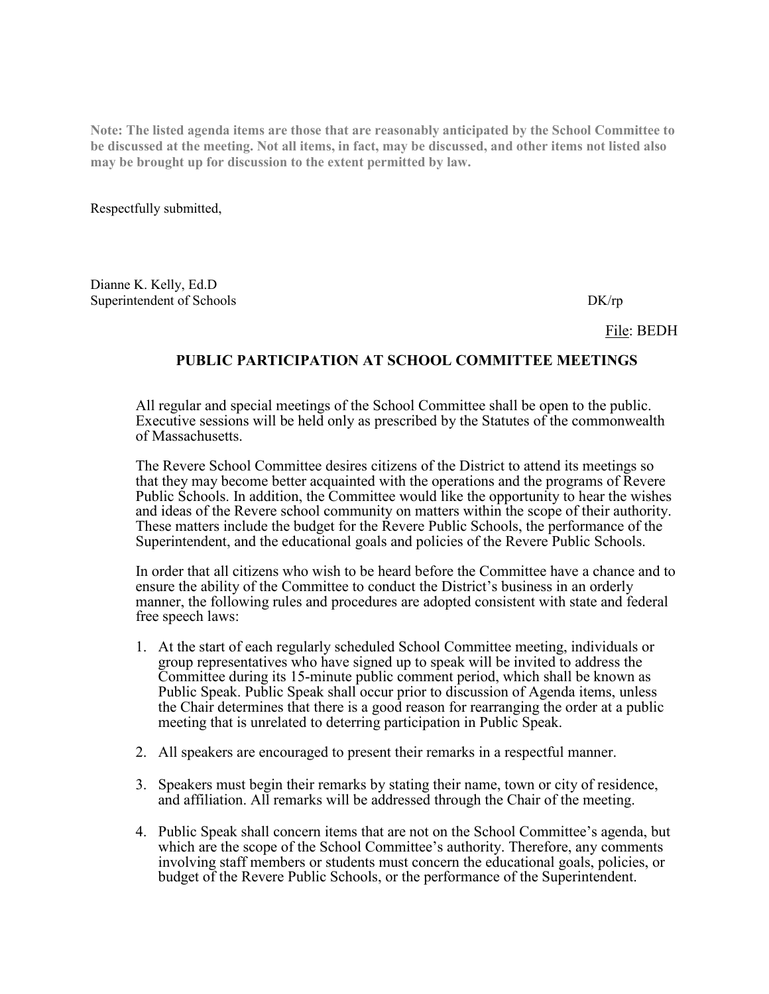**Note: The listed agenda items are those that are reasonably anticipated by the School Committee to be discussed at the meeting. Not all items, in fact, may be discussed, and other items not listed also may be brought up for discussion to the extent permitted by law.**

Respectfully submitted,

Dianne K. Kelly, Ed.D Superintendent of Schools DK/rp

File: BEDH

## **PUBLIC PARTICIPATION AT SCHOOL COMMITTEE MEETINGS**

All regular and special meetings of the School Committee shall be open to the public. Executive sessions will be held only as prescribed by the Statutes of the commonwealth of Massachusetts.

The Revere School Committee desires citizens of the District to attend its meetings so that they may become better acquainted with the operations and the programs of Revere Public Schools. In addition, the Committee would like the opportunity to hear the wishes and ideas of the Revere school community on matters within the scope of their authority. These matters include the budget for the Revere Public Schools, the performance of the Superintendent, and the educational goals and policies of the Revere Public Schools.

In order that all citizens who wish to be heard before the Committee have a chance and to ensure the ability of the Committee to conduct the District's business in an orderly manner, the following rules and procedures are adopted consistent with state and federal free speech laws:

- 1. At the start of each regularly scheduled School Committee meeting, individuals or group representatives who have signed up to speak will be invited to address the Committee during its 15-minute public comment period, which shall be known as Public Speak. Public Speak shall occur prior to discussion of Agenda items, unless the Chair determines that there is a good reason for rearranging the order at a public meeting that is unrelated to deterring participation in Public Speak.
- 2. All speakers are encouraged to present their remarks in a respectful manner.
- 3. Speakers must begin their remarks by stating their name, town or city of residence, and affiliation. All remarks will be addressed through the Chair of the meeting.
- 4. Public Speak shall concern items that are not on the School Committee's agenda, but which are the scope of the School Committee's authority. Therefore, any comments involving staff members or students must concern the educational goals, policies, or budget of the Revere Public Schools, or the performance of the Superintendent.